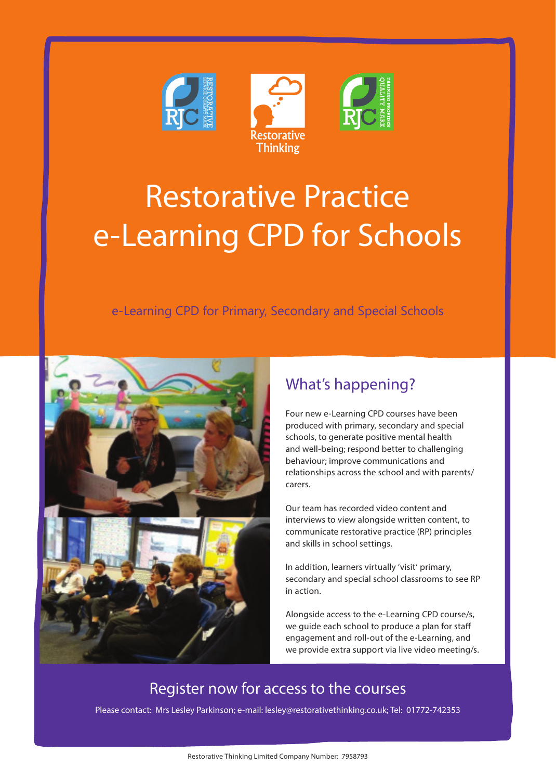



e-Learning CPD for Primary, Secondary and Special Schools



## What's happening?

Four new e-Learning CPD courses have been produced with primary, secondary and special schools, to generate positive mental health and well-being; respond better to challenging behaviour; improve communications and relationships across the school and with parents/ carers.

Our team has recorded video content and interviews to view alongside written content, to communicate restorative practice (RP) principles and skills in school settings.

In addition, learners virtually 'visit' primary, secondary and special school classrooms to see RP in action.

Alongside access to the e-Learning CPD course/s, we guide each school to produce a plan for staff engagement and roll-out of the e-Learning, and we provide extra support via live video meeting/s.

## Register now for access to the courses

Please contact: Mrs Lesley Parkinson; e-mail: lesley@restorativethinking.co.uk; Tel: 01772-742353